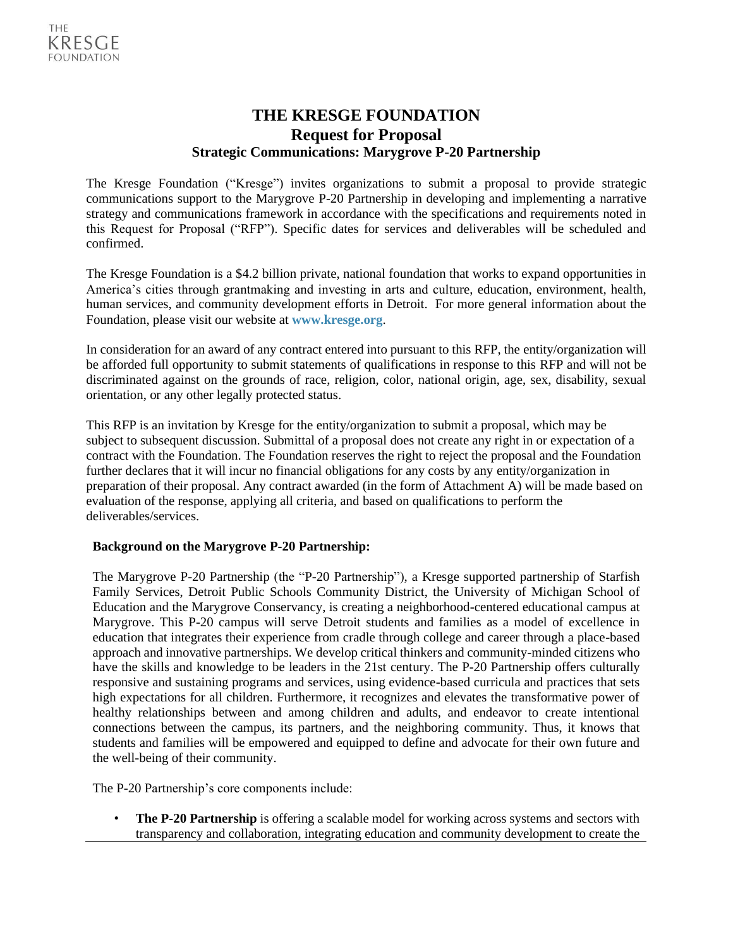# **THE KRESGE FOUNDATION Request for Proposal Strategic Communications: Marygrove P-20 Partnership**

The Kresge Foundation ("Kresge") invites organizations to submit a proposal to provide strategic communications support to the Marygrove P-20 Partnership in developing and implementing a narrative strategy and communications framework in accordance with the specifications and requirements noted in this Request for Proposal ("RFP"). Specific dates for services and deliverables will be scheduled and confirmed.

The Kresge Foundation is a \$4.2 billion private, national foundation that works to expand opportunities in America's cities through grantmaking and investing in arts and culture, education, environment, health, human services, and community development efforts in Detroit. For more general information about the Foundation, please visit our website at **[www.kresge.org](http://www.kresge.org/)**.

In consideration for an award of any contract entered into pursuant to this RFP, the entity/organization will be afforded full opportunity to submit statements of qualifications in response to this RFP and will not be discriminated against on the grounds of race, religion, color, national origin, age, sex, disability, sexual orientation, or any other legally protected status.

This RFP is an invitation by Kresge for the entity/organization to submit a proposal, which may be subject to subsequent discussion. Submittal of a proposal does not create any right in or expectation of a contract with the Foundation. The Foundation reserves the right to reject the proposal and the Foundation further declares that it will incur no financial obligations for any costs by any entity/organization in preparation of their proposal. Any contract awarded (in the form of Attachment A) will be made based on evaluation of the response, applying all criteria, and based on qualifications to perform the deliverables/services.

# **Background on the Marygrove P-20 Partnership:**

The Marygrove P-20 Partnership (the "P-20 Partnership"), a Kresge supported partnership of Starfish Family Services, Detroit Public Schools Community District, the University of Michigan School of Education and the Marygrove Conservancy, is creating a neighborhood-centered educational campus at Marygrove. This P-20 campus will serve Detroit students and families as a model of excellence in education that integrates their experience from cradle through college and career through a place-based approach and innovative partnerships. We develop critical thinkers and community-minded citizens who have the skills and knowledge to be leaders in the 21st century. The P-20 Partnership offers culturally responsive and sustaining programs and services, using evidence-based curricula and practices that sets high expectations for all children. Furthermore, it recognizes and elevates the transformative power of healthy relationships between and among children and adults, and endeavor to create intentional connections between the campus, its partners, and the neighboring community. Thus, it knows that students and families will be empowered and equipped to define and advocate for their own future and the well-being of their community.

The P-20 Partnership's core components include:

• **The P-20 Partnership** is offering a scalable model for working across systems and sectors with transparency and collaboration, integrating education and community development to create the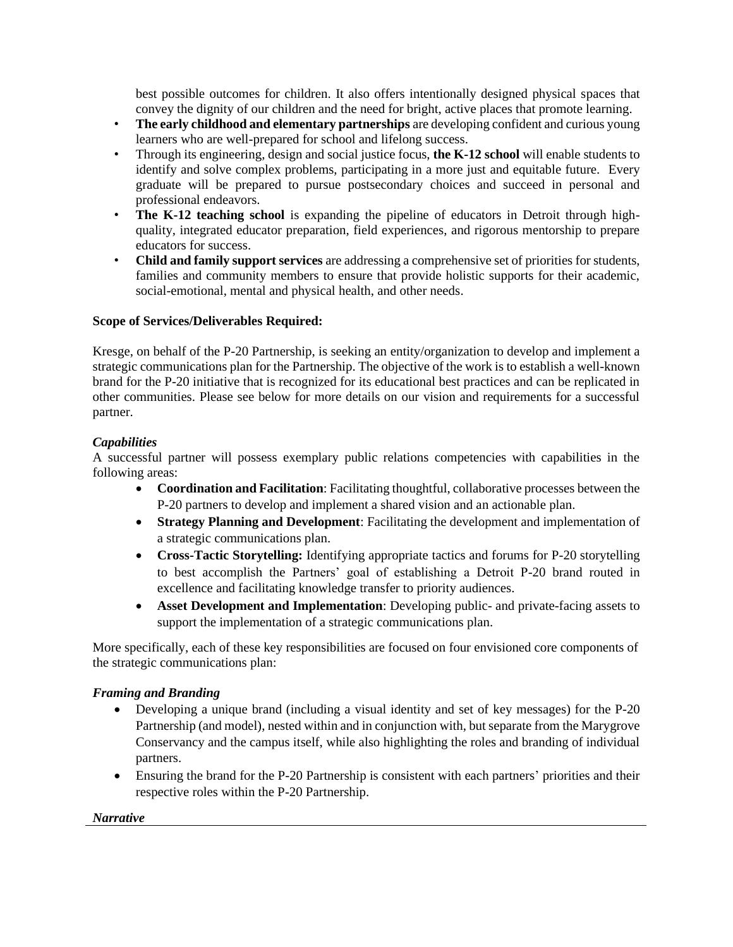best possible outcomes for children. It also offers intentionally designed physical spaces that convey the dignity of our children and the need for bright, active places that promote learning.

- **The early childhood and elementary partnerships** are developing confident and curious young learners who are well-prepared for school and lifelong success.
- Through its engineering, design and social justice focus, **the K-12 school** will enable students to identify and solve complex problems, participating in a more just and equitable future. Every graduate will be prepared to pursue postsecondary choices and succeed in personal and professional endeavors.
- **The K-12 teaching school** is expanding the pipeline of educators in Detroit through highquality, integrated educator preparation, field experiences, and rigorous mentorship to prepare educators for success.
- **Child and family support services** are addressing a comprehensive set of priorities for students, families and community members to ensure that provide holistic supports for their academic, social-emotional, mental and physical health, and other needs.

## **Scope of Services/Deliverables Required:**

Kresge, on behalf of the P-20 Partnership, is seeking an entity/organization to develop and implement a strategic communications plan for the Partnership. The objective of the work is to establish a well-known brand for the P-20 initiative that is recognized for its educational best practices and can be replicated in other communities. Please see below for more details on our vision and requirements for a successful partner.

## *Capabilities*

A successful partner will possess exemplary public relations competencies with capabilities in the following areas:

- **Coordination and Facilitation**: Facilitating thoughtful, collaborative processes between the P-20 partners to develop and implement a shared vision and an actionable plan.
- **Strategy Planning and Development**: Facilitating the development and implementation of a strategic communications plan.
- **Cross-Tactic Storytelling:** Identifying appropriate tactics and forums for P-20 storytelling to best accomplish the Partners' goal of establishing a Detroit P-20 brand routed in excellence and facilitating knowledge transfer to priority audiences.
- **Asset Development and Implementation**: Developing public- and private-facing assets to support the implementation of a strategic communications plan.

More specifically, each of these key responsibilities are focused on four envisioned core components of the strategic communications plan:

#### *Framing and Branding*

- Developing a unique brand (including a visual identity and set of key messages) for the P-20 Partnership (and model), nested within and in conjunction with, but separate from the Marygrove Conservancy and the campus itself, while also highlighting the roles and branding of individual partners.
- Ensuring the brand for the P-20 Partnership is consistent with each partners' priorities and their respective roles within the P-20 Partnership.

*Narrative*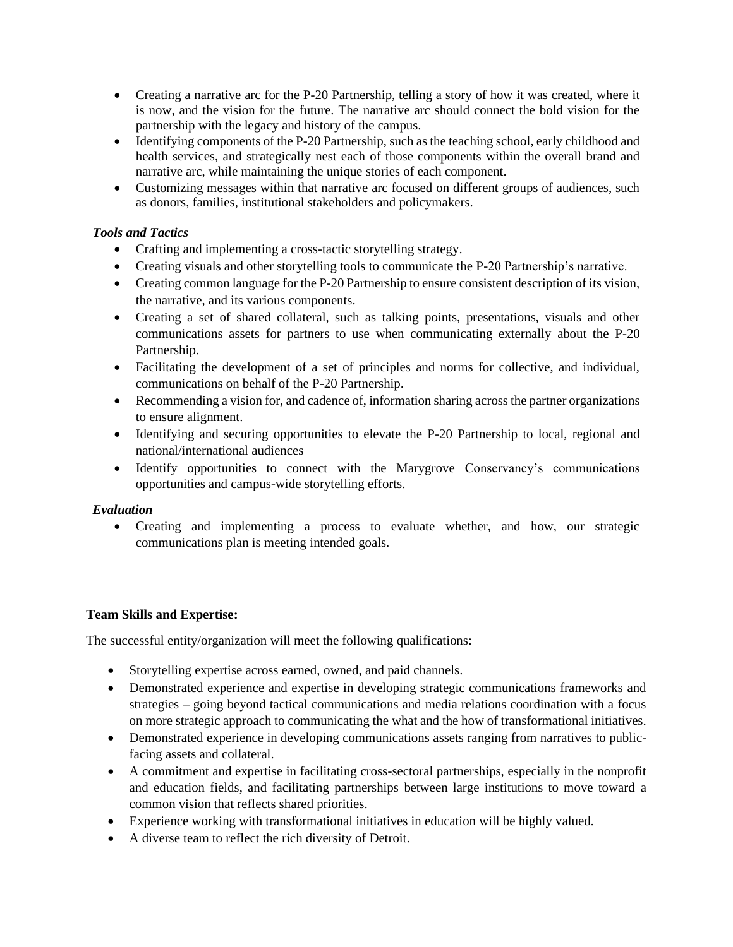- Creating a narrative arc for the P-20 Partnership, telling a story of how it was created, where it is now, and the vision for the future. The narrative arc should connect the bold vision for the partnership with the legacy and history of the campus.
- Identifying components of the P-20 Partnership, such as the teaching school, early childhood and health services, and strategically nest each of those components within the overall brand and narrative arc, while maintaining the unique stories of each component.
- Customizing messages within that narrative arc focused on different groups of audiences, such as donors, families, institutional stakeholders and policymakers.

# *Tools and Tactics*

- Crafting and implementing a cross-tactic storytelling strategy.
- Creating visuals and other storytelling tools to communicate the P-20 Partnership's narrative.
- Creating common language for the P-20 Partnership to ensure consistent description of its vision, the narrative, and its various components.
- Creating a set of shared collateral, such as talking points, presentations, visuals and other communications assets for partners to use when communicating externally about the P-20 Partnership.
- Facilitating the development of a set of principles and norms for collective, and individual, communications on behalf of the P-20 Partnership.
- Recommending a vision for, and cadence of, information sharing across the partner organizations to ensure alignment.
- Identifying and securing opportunities to elevate the P-20 Partnership to local, regional and national/international audiences
- Identify opportunities to connect with the Marygrove Conservancy's communications opportunities and campus-wide storytelling efforts.

#### *Evaluation*

• Creating and implementing a process to evaluate whether, and how, our strategic communications plan is meeting intended goals.

#### **Team Skills and Expertise:**

The successful entity/organization will meet the following qualifications:

- Storytelling expertise across earned, owned, and paid channels.
- Demonstrated experience and expertise in developing strategic communications frameworks and strategies – going beyond tactical communications and media relations coordination with a focus on more strategic approach to communicating the what and the how of transformational initiatives.
- Demonstrated experience in developing communications assets ranging from narratives to publicfacing assets and collateral.
- A commitment and expertise in facilitating cross-sectoral partnerships, especially in the nonprofit and education fields, and facilitating partnerships between large institutions to move toward a common vision that reflects shared priorities.
- Experience working with transformational initiatives in education will be highly valued.
- A diverse team to reflect the rich diversity of Detroit.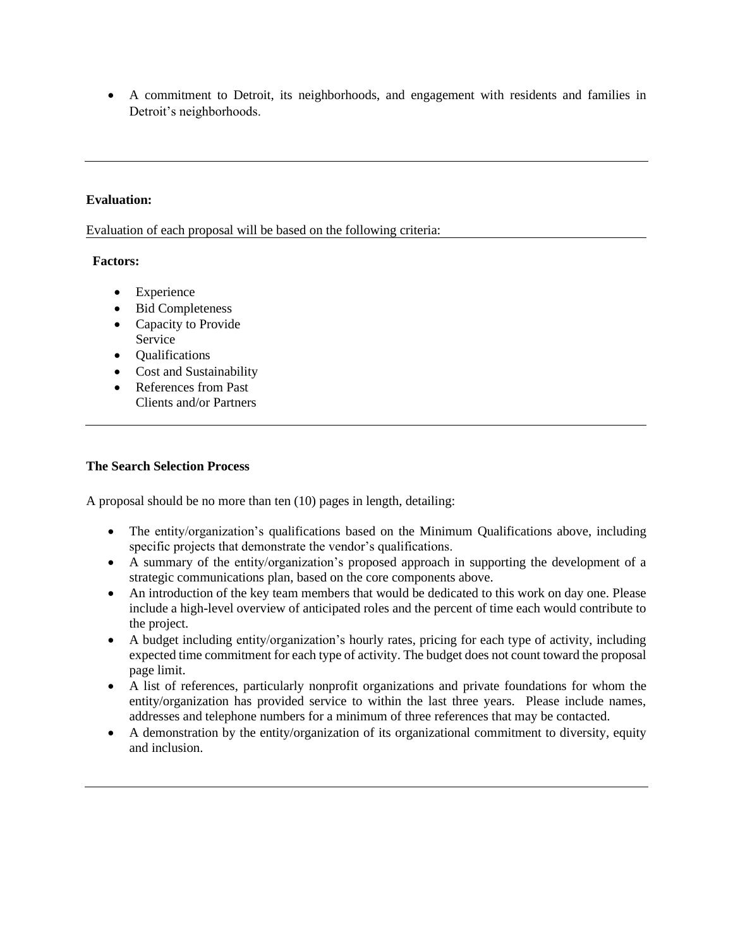• A commitment to Detroit, its neighborhoods, and engagement with residents and families in Detroit's neighborhoods.

## **Evaluation:**

Evaluation of each proposal will be based on the following criteria:

#### **Factors:**

- Experience
- Bid Completeness
- Capacity to Provide Service
- Qualifications
- Cost and Sustainability
- References from Past Clients and/or Partners

#### **The Search Selection Process**

A proposal should be no more than ten (10) pages in length, detailing:

- The entity/organization's qualifications based on the Minimum Qualifications above, including specific projects that demonstrate the vendor's qualifications.
- A summary of the entity/organization's proposed approach in supporting the development of a strategic communications plan, based on the core components above.
- An introduction of the key team members that would be dedicated to this work on day one. Please include a high-level overview of anticipated roles and the percent of time each would contribute to the project.
- A budget including entity/organization's hourly rates, pricing for each type of activity, including expected time commitment for each type of activity. The budget does not count toward the proposal page limit.
- A list of references, particularly nonprofit organizations and private foundations for whom the entity/organization has provided service to within the last three years. Please include names, addresses and telephone numbers for a minimum of three references that may be contacted.
- A demonstration by the entity/organization of its organizational commitment to diversity, equity and inclusion.